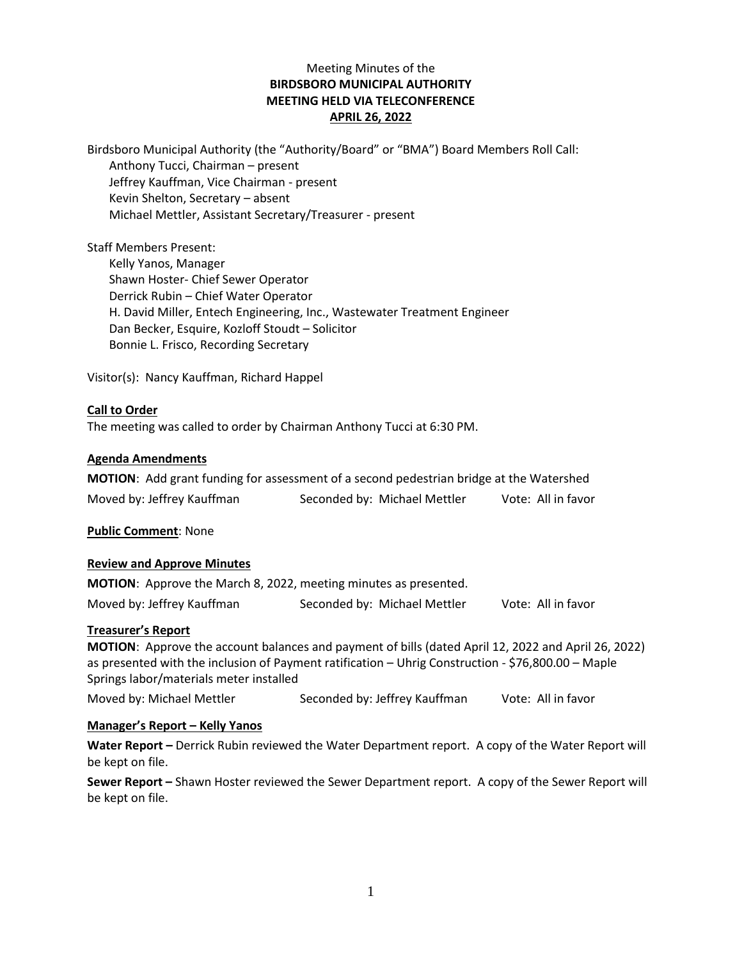# Meeting Minutes of the **BIRDSBORO MUNICIPAL AUTHORITY MEETING HELD VIA TELECONFERENCE APRIL 26, 2022**

Birdsboro Municipal Authority (the "Authority/Board" or "BMA") Board Members Roll Call: Anthony Tucci, Chairman – present Jeffrey Kauffman, Vice Chairman - present Kevin Shelton, Secretary – absent Michael Mettler, Assistant Secretary/Treasurer - present

Staff Members Present: Kelly Yanos, Manager Shawn Hoster- Chief Sewer Operator Derrick Rubin – Chief Water Operator H. David Miller, Entech Engineering, Inc., Wastewater Treatment Engineer Dan Becker, Esquire, Kozloff Stoudt – Solicitor Bonnie L. Frisco, Recording Secretary

Visitor(s): Nancy Kauffman, Richard Happel

# **Call to Order**

The meeting was called to order by Chairman Anthony Tucci at 6:30 PM.

#### **Agenda Amendments**

| <b>MOTION:</b> Add grant funding for assessment of a second pedestrian bridge at the Watershed |                              |                    |
|------------------------------------------------------------------------------------------------|------------------------------|--------------------|
| Moved by: Jeffrey Kauffman                                                                     | Seconded by: Michael Mettler | Vote: All in favor |

**Public Comment**: None

#### **Review and Approve Minutes**

| <b>MOTION:</b> Approve the March 8, 2022, meeting minutes as presented. |                              |                    |
|-------------------------------------------------------------------------|------------------------------|--------------------|
| Moved by: Jeffrey Kauffman                                              | Seconded by: Michael Mettler | Vote: All in favor |

#### **Treasurer's Report**

**MOTION**: Approve the account balances and payment of bills (dated April 12, 2022 and April 26, 2022) as presented with the inclusion of Payment ratification – Uhrig Construction - \$76,800.00 – Maple Springs labor/materials meter installed

Moved by: Michael Mettler Seconded by: Jeffrey Kauffman Vote: All in favor

#### **Manager's Report – Kelly Yanos**

**Water Report –** Derrick Rubin reviewed the Water Department report. A copy of the Water Report will be kept on file.

**Sewer Report –** Shawn Hoster reviewed the Sewer Department report. A copy of the Sewer Report will be kept on file.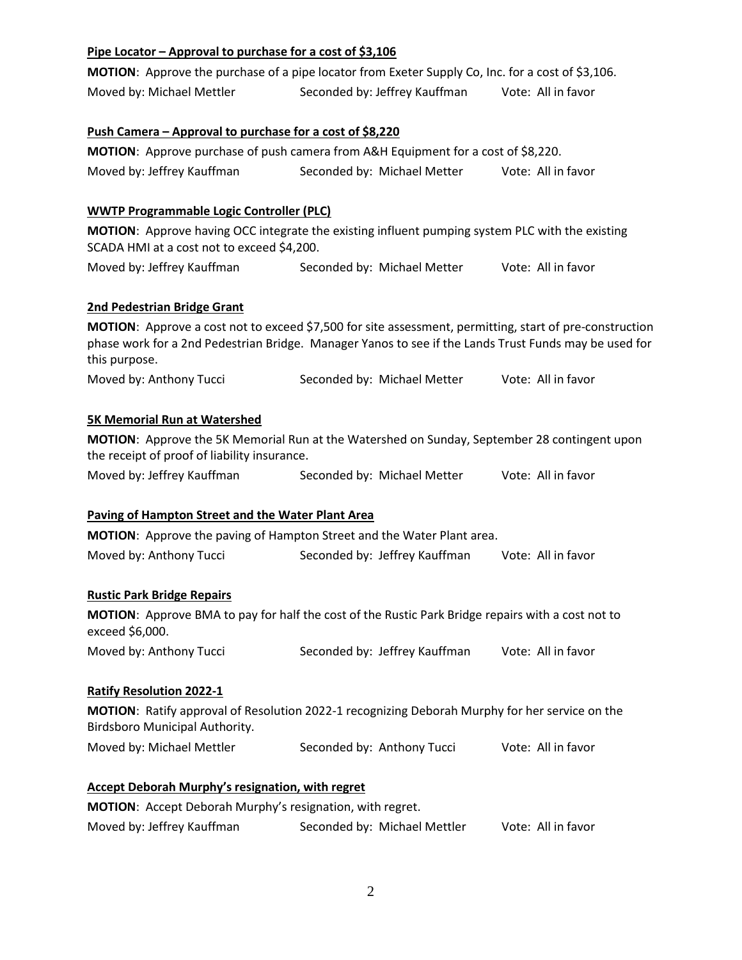| Pipe Locator – Approval to purchase for a cost of \$3,106 |                                                                                                                                                                                                                  |                    |
|-----------------------------------------------------------|------------------------------------------------------------------------------------------------------------------------------------------------------------------------------------------------------------------|--------------------|
|                                                           | MOTION: Approve the purchase of a pipe locator from Exeter Supply Co, Inc. for a cost of \$3,106.                                                                                                                |                    |
| Moved by: Michael Mettler                                 | Seconded by: Jeffrey Kauffman                                                                                                                                                                                    | Vote: All in favor |
| Push Camera - Approval to purchase for a cost of \$8,220  |                                                                                                                                                                                                                  |                    |
|                                                           | MOTION: Approve purchase of push camera from A&H Equipment for a cost of \$8,220.                                                                                                                                |                    |
| Moved by: Jeffrey Kauffman                                | Seconded by: Michael Metter                                                                                                                                                                                      | Vote: All in favor |
| <b>WWTP Programmable Logic Controller (PLC)</b>           |                                                                                                                                                                                                                  |                    |
| SCADA HMI at a cost not to exceed \$4,200.                | MOTION: Approve having OCC integrate the existing influent pumping system PLC with the existing                                                                                                                  |                    |
| Moved by: Jeffrey Kauffman                                | Seconded by: Michael Metter                                                                                                                                                                                      | Vote: All in favor |
| 2nd Pedestrian Bridge Grant                               |                                                                                                                                                                                                                  |                    |
| this purpose.                                             | MOTION: Approve a cost not to exceed \$7,500 for site assessment, permitting, start of pre-construction<br>phase work for a 2nd Pedestrian Bridge. Manager Yanos to see if the Lands Trust Funds may be used for |                    |
| Moved by: Anthony Tucci                                   | Seconded by: Michael Metter                                                                                                                                                                                      | Vote: All in favor |
| <b>5K Memorial Run at Watershed</b>                       |                                                                                                                                                                                                                  |                    |
| the receipt of proof of liability insurance.              | MOTION: Approve the 5K Memorial Run at the Watershed on Sunday, September 28 contingent upon                                                                                                                     |                    |
| Moved by: Jeffrey Kauffman                                | Seconded by: Michael Metter                                                                                                                                                                                      | Vote: All in favor |
| Paving of Hampton Street and the Water Plant Area         |                                                                                                                                                                                                                  |                    |
|                                                           | MOTION: Approve the paving of Hampton Street and the Water Plant area.                                                                                                                                           |                    |
| Moved by: Anthony Tucci                                   | Seconded by: Jeffrey Kauffman                                                                                                                                                                                    | Vote: All in favor |
| <b>Rustic Park Bridge Repairs</b>                         |                                                                                                                                                                                                                  |                    |
| exceed \$6,000.                                           | MOTION: Approve BMA to pay for half the cost of the Rustic Park Bridge repairs with a cost not to                                                                                                                |                    |
| Moved by: Anthony Tucci                                   | Seconded by: Jeffrey Kauffman                                                                                                                                                                                    | Vote: All in favor |
| <b>Ratify Resolution 2022-1</b>                           |                                                                                                                                                                                                                  |                    |
| Birdsboro Municipal Authority.                            | MOTION: Ratify approval of Resolution 2022-1 recognizing Deborah Murphy for her service on the                                                                                                                   |                    |
| Moved by: Michael Mettler                                 | Seconded by: Anthony Tucci                                                                                                                                                                                       | Vote: All in favor |
| <b>Accept Deborah Murphy's resignation, with regret</b>   |                                                                                                                                                                                                                  |                    |
| MOTION: Accept Deborah Murphy's resignation, with regret. |                                                                                                                                                                                                                  |                    |
| Moved by: Jeffrey Kauffman                                | Seconded by: Michael Mettler                                                                                                                                                                                     | Vote: All in favor |